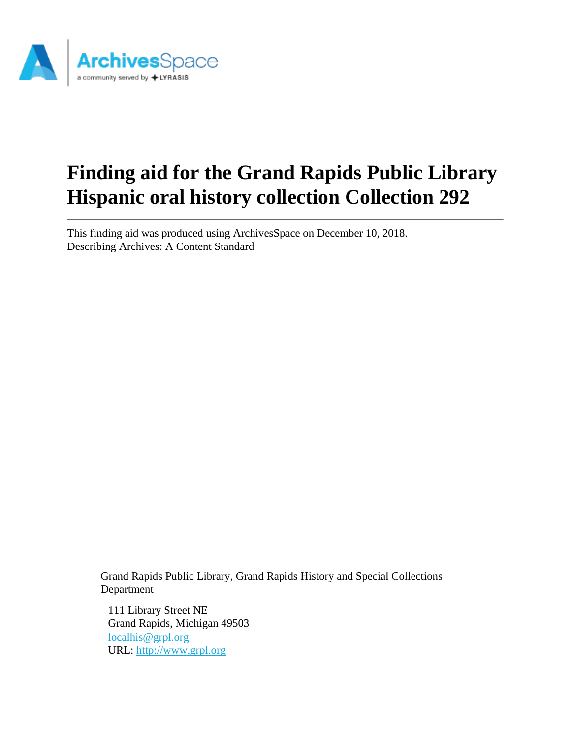

# **Finding aid for the Grand Rapids Public Library Hispanic oral history collection Collection 292**

This finding aid was produced using ArchivesSpace on December 10, 2018. Describing Archives: A Content Standard

Grand Rapids Public Library, Grand Rapids History and Special Collections Department

111 Library Street NE Grand Rapids, Michigan 49503 [localhis@grpl.org](mailto:localhis@grpl.org) URL:<http://www.grpl.org>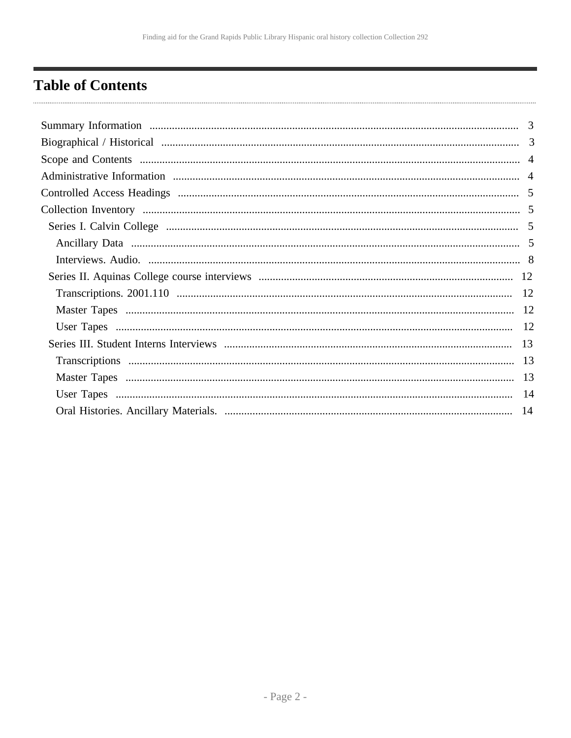## <span id="page-1-0"></span>**Table of Contents**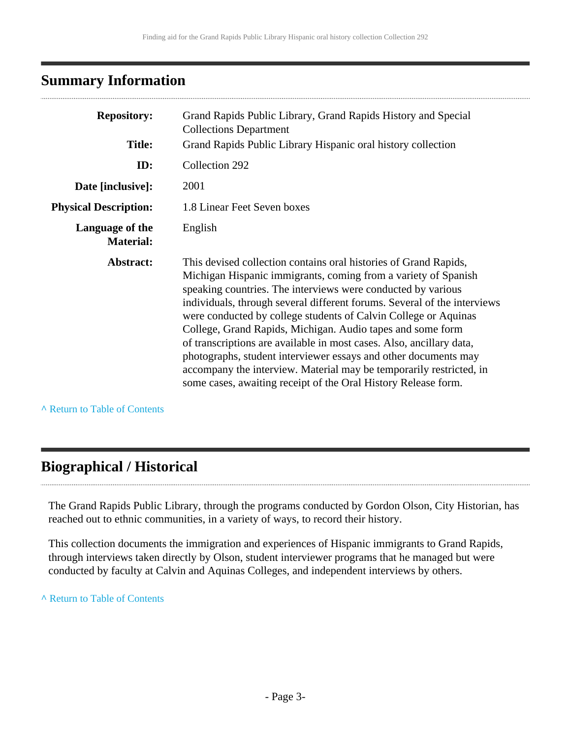## <span id="page-2-0"></span>**Summary Information**

| <b>Repository:</b>                  | Grand Rapids Public Library, Grand Rapids History and Special<br><b>Collections Department</b>                                                                                                                                                                                                                                                                                                                                                                                                                                                                                                                                                                                                      |
|-------------------------------------|-----------------------------------------------------------------------------------------------------------------------------------------------------------------------------------------------------------------------------------------------------------------------------------------------------------------------------------------------------------------------------------------------------------------------------------------------------------------------------------------------------------------------------------------------------------------------------------------------------------------------------------------------------------------------------------------------------|
| <b>Title:</b>                       | Grand Rapids Public Library Hispanic oral history collection                                                                                                                                                                                                                                                                                                                                                                                                                                                                                                                                                                                                                                        |
| ID:                                 | Collection 292                                                                                                                                                                                                                                                                                                                                                                                                                                                                                                                                                                                                                                                                                      |
| Date [inclusive]:                   | 2001                                                                                                                                                                                                                                                                                                                                                                                                                                                                                                                                                                                                                                                                                                |
| <b>Physical Description:</b>        | 1.8 Linear Feet Seven boxes                                                                                                                                                                                                                                                                                                                                                                                                                                                                                                                                                                                                                                                                         |
| Language of the<br><b>Material:</b> | English                                                                                                                                                                                                                                                                                                                                                                                                                                                                                                                                                                                                                                                                                             |
| Abstract:                           | This devised collection contains oral histories of Grand Rapids,<br>Michigan Hispanic immigrants, coming from a variety of Spanish<br>speaking countries. The interviews were conducted by various<br>individuals, through several different forums. Several of the interviews<br>were conducted by college students of Calvin College or Aquinas<br>College, Grand Rapids, Michigan. Audio tapes and some form<br>of transcriptions are available in most cases. Also, ancillary data,<br>photographs, student interviewer essays and other documents may<br>accompany the interview. Material may be temporarily restricted, in<br>some cases, awaiting receipt of the Oral History Release form. |

**^** [Return to Table of Contents](#page-1-0)

. . . . . . . . . . . . . .

## <span id="page-2-1"></span>**Biographical / Historical**

The Grand Rapids Public Library, through the programs conducted by Gordon Olson, City Historian, has reached out to ethnic communities, in a variety of ways, to record their history.

This collection documents the immigration and experiences of Hispanic immigrants to Grand Rapids, through interviews taken directly by Olson, student interviewer programs that he managed but were conducted by faculty at Calvin and Aquinas Colleges, and independent interviews by others.

**^** [Return to Table of Contents](#page-1-0)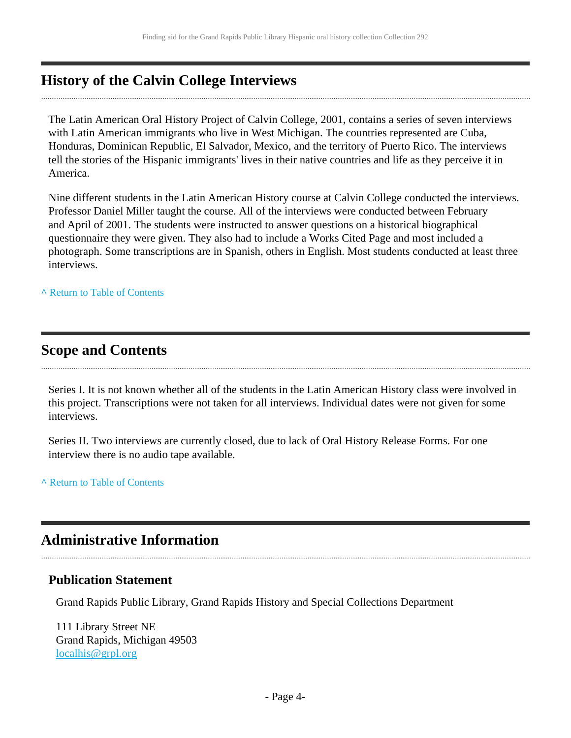## **History of the Calvin College Interviews**

The Latin American Oral History Project of Calvin College, 2001, contains a series of seven interviews with Latin American immigrants who live in West Michigan. The countries represented are Cuba, Honduras, Dominican Republic, El Salvador, Mexico, and the territory of Puerto Rico. The interviews tell the stories of the Hispanic immigrants' lives in their native countries and life as they perceive it in America.

Nine different students in the Latin American History course at Calvin College conducted the interviews. Professor Daniel Miller taught the course. All of the interviews were conducted between February and April of 2001. The students were instructed to answer questions on a historical biographical questionnaire they were given. They also had to include a Works Cited Page and most included a photograph. Some transcriptions are in Spanish, others in English. Most students conducted at least three interviews.

**^** [Return to Table of Contents](#page-1-0)

## <span id="page-3-0"></span>**Scope and Contents**

Series I. It is not known whether all of the students in the Latin American History class were involved in this project. Transcriptions were not taken for all interviews. Individual dates were not given for some interviews.

Series II. Two interviews are currently closed, due to lack of Oral History Release Forms. For one interview there is no audio tape available.

**^** [Return to Table of Contents](#page-1-0)

## <span id="page-3-1"></span>**Administrative Information**

### **Publication Statement**

Grand Rapids Public Library, Grand Rapids History and Special Collections Department

111 Library Street NE Grand Rapids, Michigan 49503 [localhis@grpl.org](mailto:localhis@grpl.org)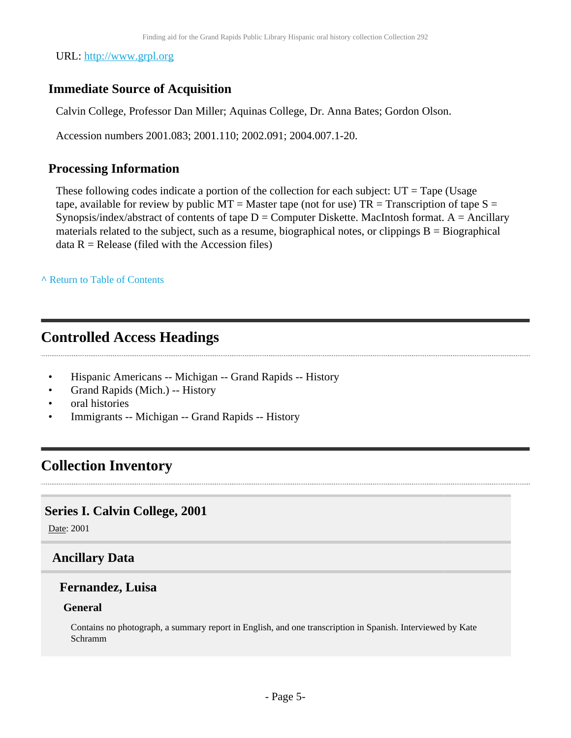URL:<http://www.grpl.org>

## **Immediate Source of Acquisition**

Calvin College, Professor Dan Miller; Aquinas College, Dr. Anna Bates; Gordon Olson.

Accession numbers 2001.083; 2001.110; 2002.091; 2004.007.1-20.

### **Processing Information**

These following codes indicate a portion of the collection for each subject:  $UT = Tape$  (Usage tape, available for review by public  $MT = Master$  tape (not for use)  $TR = Transaction$  of tape  $S =$ Synopsis/index/abstract of contents of tape  $D =$  Computer Diskette. MacIntosh format. A = Ancillary materials related to the subject, such as a resume, biographical notes, or clippings  $B = Biographical$  $data R = Release (field with the Accession files)$ 

**^** [Return to Table of Contents](#page-1-0)

## <span id="page-4-0"></span>**Controlled Access Headings**

- Hispanic Americans -- Michigan -- Grand Rapids -- History
- Grand Rapids (Mich.) -- History
- oral histories
- Immigrants -- Michigan -- Grand Rapids -- History

## <span id="page-4-1"></span>**Collection Inventory**

### <span id="page-4-2"></span>**Series I. Calvin College, 2001**

Date: 2001

## <span id="page-4-3"></span>**Ancillary Data**

### **Fernandez, Luisa**

### **General**

Contains no photograph, a summary report in English, and one transcription in Spanish. Interviewed by Kate Schramm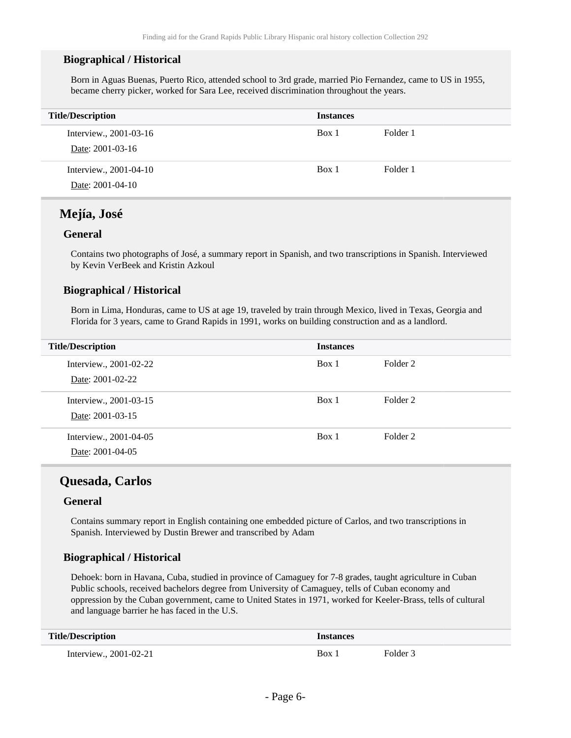#### **Biographical / Historical**

Born in Aguas Buenas, Puerto Rico, attended school to 3rd grade, married Pio Fernandez, came to US in 1955, became cherry picker, worked for Sara Lee, received discrimination throughout the years.

| <b>Title/Description</b>                   | <b>Instances</b> |          |
|--------------------------------------------|------------------|----------|
| Interview., 2001-03-16<br>Date: 2001-03-16 | Box 1            | Folder 1 |
| Interview., 2001-04-10<br>Date: 2001-04-10 | Box 1            | Folder 1 |

### **Mejía, José**

#### **General**

Contains two photographs of José, a summary report in Spanish, and two transcriptions in Spanish. Interviewed by Kevin VerBeek and Kristin Azkoul

#### **Biographical / Historical**

Born in Lima, Honduras, came to US at age 19, traveled by train through Mexico, lived in Texas, Georgia and Florida for 3 years, came to Grand Rapids in 1991, works on building construction and as a landlord.

| <b>Title/Description</b> | <b>Instances</b> |          |
|--------------------------|------------------|----------|
| Interview., 2001-02-22   | Box 1            | Folder 2 |
| Date: 2001-02-22         |                  |          |
| Interview., 2001-03-15   | Box 1            | Folder 2 |
| Date: 2001-03-15         |                  |          |
| Interview., 2001-04-05   | Box 1            | Folder 2 |
| Date: 2001-04-05         |                  |          |

### **Quesada, Carlos**

#### **General**

Contains summary report in English containing one embedded picture of Carlos, and two transcriptions in Spanish. Interviewed by Dustin Brewer and transcribed by Adam

#### **Biographical / Historical**

Dehoek: born in Havana, Cuba, studied in province of Camaguey for 7-8 grades, taught agriculture in Cuban Public schools, received bachelors degree from University of Camaguey, tells of Cuban economy and oppression by the Cuban government, came to United States in 1971, worked for Keeler-Brass, tells of cultural and language barrier he has faced in the U.S.

| <b>Title/Description</b>     | <i><u><b>Instances</b></u></i> |          |
|------------------------------|--------------------------------|----------|
| Interview., $2001 - 02 - 21$ | Box 1                          | Folder 3 |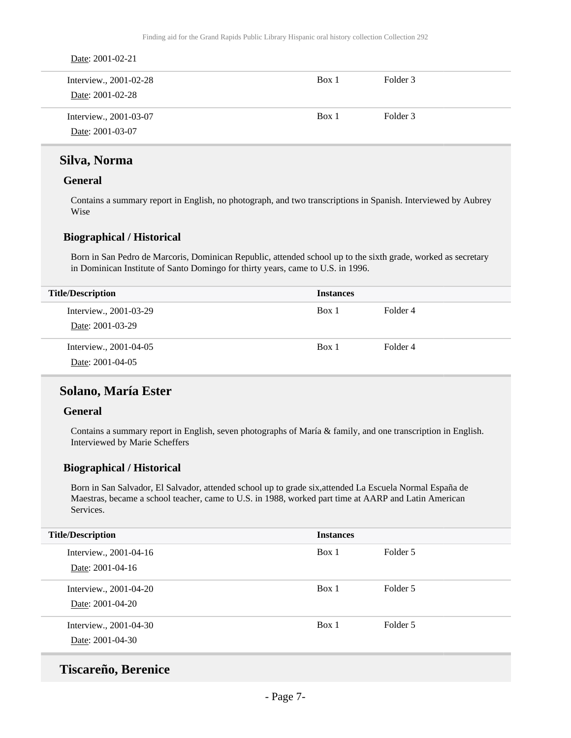| Date: 2001-02-21                           |       |          |  |
|--------------------------------------------|-------|----------|--|
| Interview., 2001-02-28<br>Date: 2001-02-28 | Box 1 | Folder 3 |  |
| Interview., 2001-03-07<br>Date: 2001-03-07 | Box 1 | Folder 3 |  |

### **Silva, Norma**

#### **General**

Contains a summary report in English, no photograph, and two transcriptions in Spanish. Interviewed by Aubrey Wise

#### **Biographical / Historical**

Born in San Pedro de Marcoris, Dominican Republic, attended school up to the sixth grade, worked as secretary in Dominican Institute of Santo Domingo for thirty years, came to U.S. in 1996.

| <b>Title/Description</b>                   | <b>Instances</b> |          |
|--------------------------------------------|------------------|----------|
| Interview., 2001-03-29<br>Date: 2001-03-29 | Box 1            | Folder 4 |
| Interview., 2001-04-05<br>Date: 2001-04-05 | Box 1            | Folder 4 |

### **Solano, María Ester**

#### **General**

Contains a summary report in English, seven photographs of María & family, and one transcription in English. Interviewed by Marie Scheffers

#### **Biographical / Historical**

Born in San Salvador, El Salvador, attended school up to grade six,attended La Escuela Normal España de Maestras, became a school teacher, came to U.S. in 1988, worked part time at AARP and Latin American Services.

| <b>Title/Description</b>                   | <b>Instances</b> |          |
|--------------------------------------------|------------------|----------|
| Interview., 2001-04-16<br>Date: 2001-04-16 | Box 1            | Folder 5 |
| Interview., 2001-04-20<br>Date: 2001-04-20 | Box 1            | Folder 5 |
| Interview., 2001-04-30<br>Date: 2001-04-30 | Box 1            | Folder 5 |

### **Tiscareño, Berenice**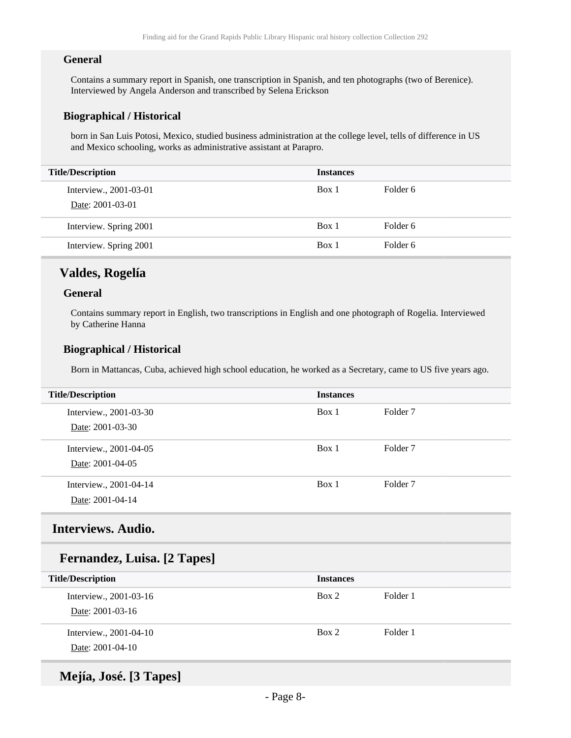#### **General**

Contains a summary report in Spanish, one transcription in Spanish, and ten photographs (two of Berenice). Interviewed by Angela Anderson and transcribed by Selena Erickson

#### **Biographical / Historical**

born in San Luis Potosi, Mexico, studied business administration at the college level, tells of difference in US and Mexico schooling, works as administrative assistant at Parapro.

| <b>Title/Description</b>                   | <b>Instances</b> |          |
|--------------------------------------------|------------------|----------|
| Interview., 2001-03-01<br>Date: 2001-03-01 | Box 1            | Folder 6 |
| Interview. Spring 2001                     | Box 1            | Folder 6 |
| Interview. Spring 2001                     | Box 1            | Folder 6 |

### **Valdes, Rogelía**

#### **General**

Contains summary report in English, two transcriptions in English and one photograph of Rogelia. Interviewed by Catherine Hanna

#### **Biographical / Historical**

Born in Mattancas, Cuba, achieved high school education, he worked as a Secretary, came to US five years ago.

| <b>Title/Description</b>                   | <b>Instances</b> |          |
|--------------------------------------------|------------------|----------|
| Interview., 2001-03-30<br>Date: 2001-03-30 | Box 1            | Folder 7 |
| Interview., 2001-04-05<br>Date: 2001-04-05 | Box 1            | Folder 7 |
| Interview., 2001-04-14<br>Date: 2001-04-14 | Box 1            | Folder 7 |

### <span id="page-7-0"></span>**Interviews. Audio.**

### **Fernandez, Luisa. [2 Tapes]**

| <b>Title/Description</b>                   | <b>Instances</b> |          |
|--------------------------------------------|------------------|----------|
| Interview., 2001-03-16<br>Date: 2001-03-16 | Box 2            | Folder 1 |
| Interview., 2001-04-10<br>Date: 2001-04-10 | Box 2            | Folder 1 |

### **Mejía, José. [3 Tapes]**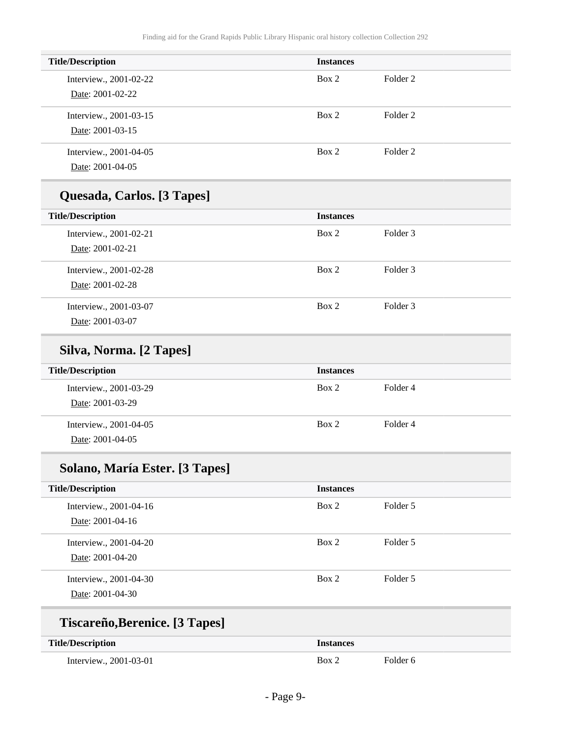| <b>Title/Description</b>                   | <b>Instances</b> |          |
|--------------------------------------------|------------------|----------|
| Interview., 2001-02-22<br>Date: 2001-02-22 | Box 2            | Folder 2 |
| Interview., 2001-03-15<br>Date: 2001-03-15 | Box 2            | Folder 2 |
| Interview., 2001-04-05<br>Date: 2001-04-05 | Box 2            | Folder 2 |

## **Quesada, Carlos. [3 Tapes]**

| <b>Title/Description</b>                   | <b>Instances</b> |          |
|--------------------------------------------|------------------|----------|
| Interview., 2001-02-21<br>Date: 2001-02-21 | Box 2            | Folder 3 |
| Interview., 2001-02-28                     | Box 2            | Folder 3 |
| Date: 2001-02-28                           |                  |          |
| Interview., 2001-03-07                     | Box 2            | Folder 3 |
| Date: 2001-03-07                           |                  |          |

## **Silva, Norma. [2 Tapes]**

| <b>Title/Description</b>                   | <b>Instances</b> |          |
|--------------------------------------------|------------------|----------|
| Interview., 2001-03-29<br>Date: 2001-03-29 | Box 2            | Folder 4 |
| Interview., 2001-04-05<br>Date: 2001-04-05 | Box 2            | Folder 4 |

## **Solano, María Ester. [3 Tapes]**

| <b>Title/Description</b>                   | <b>Instances</b> |          |
|--------------------------------------------|------------------|----------|
| Interview., 2001-04-16<br>Date: 2001-04-16 | Box 2            | Folder 5 |
| Interview., 2001-04-20<br>Date: 2001-04-20 | Box 2            | Folder 5 |
| Interview., 2001-04-30<br>Date: 2001-04-30 | Box 2            | Folder 5 |

## **Tiscareño,Berenice. [3 Tapes]**

| <b>Title/Description</b> | Instances |          |
|--------------------------|-----------|----------|
| Interview., 2001-03-01   | Rox 2     | Folder 6 |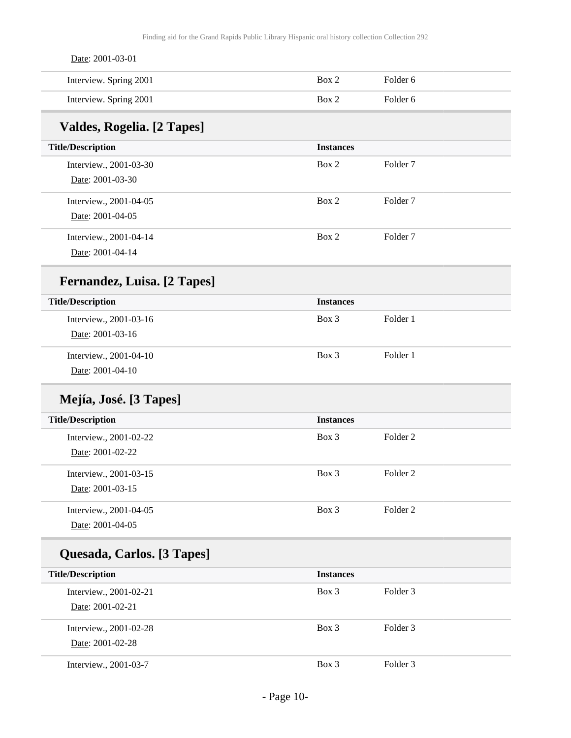| Date: 2001-03-01                   |                  |                     |  |
|------------------------------------|------------------|---------------------|--|
| Interview. Spring 2001             | Box 2            | Folder 6            |  |
| Interview. Spring 2001             | Box 2            | Folder 6            |  |
| Valdes, Rogelia. [2 Tapes]         |                  |                     |  |
| <b>Title/Description</b>           | <b>Instances</b> |                     |  |
| Interview., 2001-03-30             | Box 2            | Folder <sub>7</sub> |  |
| Date: 2001-03-30                   |                  |                     |  |
| Interview., 2001-04-05             | Box 2            | Folder <sub>7</sub> |  |
| Date: 2001-04-05                   |                  |                     |  |
| Interview., 2001-04-14             | Box 2            | Folder <sub>7</sub> |  |
| Date: 2001-04-14                   |                  |                     |  |
| <b>Fernandez, Luisa.</b> [2 Tapes] |                  |                     |  |
| <b>Title/Description</b>           | <b>Instances</b> |                     |  |
| Interview., 2001-03-16             | Box 3            | Folder 1            |  |
| Date: 2001-03-16                   |                  |                     |  |
| Interview., 2001-04-10             | Box 3            | Folder 1            |  |
| Date: 2001-04-10                   |                  |                     |  |
| Mejía, José. [3 Tapes]             |                  |                     |  |
| <b>Title/Description</b>           | <b>Instances</b> |                     |  |
| Interview., 2001-02-22             | Box 3            | Folder <sub>2</sub> |  |
| Date: 2001-02-22                   |                  |                     |  |
| Interview., 2001-03-15             | Box 3            | Folder <sub>2</sub> |  |
| Date: 2001-03-15                   |                  |                     |  |
| Interview., 2001-04-05             | Box 3            | Folder <sub>2</sub> |  |
| Date: 2001-04-05                   |                  |                     |  |
| Quesada, Carlos. [3 Tapes]         |                  |                     |  |
| <b>Title/Description</b>           | <b>Instances</b> |                     |  |
| Interview., 2001-02-21             | Box 3            | Folder 3            |  |
| Date: 2001-02-21                   |                  |                     |  |
| Interview., 2001-02-28             | Box 3            | Folder 3            |  |
| Date: 2001-02-28                   |                  |                     |  |
| Interview., 2001-03-7              | Box 3            | Folder 3            |  |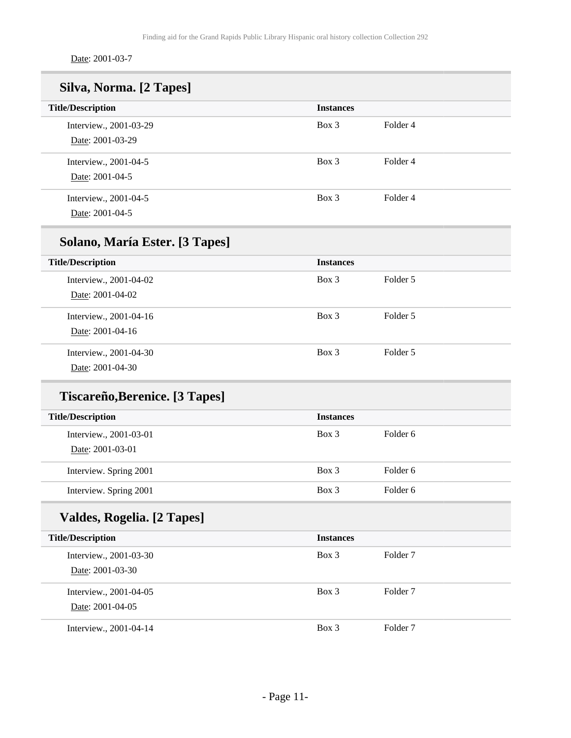Date: 2001-03-7

| Silva, Norma. [2 Tapes]        |                  |                     |  |
|--------------------------------|------------------|---------------------|--|
| <b>Title/Description</b>       | <b>Instances</b> |                     |  |
| Interview., 2001-03-29         | Box 3            | Folder <sub>4</sub> |  |
| Date: 2001-03-29               |                  |                     |  |
| Interview., 2001-04-5          | Box 3            | Folder 4            |  |
| Date: 2001-04-5                |                  |                     |  |
| Interview., 2001-04-5          | Box 3            | Folder <sub>4</sub> |  |
| Date: 2001-04-5                |                  |                     |  |
| Solano, María Ester. [3 Tapes] |                  |                     |  |
| <b>Title/Description</b>       | <b>Instances</b> |                     |  |
| Interview., 2001-04-02         | Box 3            | Folder 5            |  |
| Date: 2001-04-02               |                  |                     |  |
| Interview., 2001-04-16         | Box 3            | Folder 5            |  |
| Date: 2001-04-16               |                  |                     |  |
| Interview., 2001-04-30         | Box 3            | Folder 5            |  |
| Date: 2001-04-30               |                  |                     |  |
| Tiscareño, Berenice. [3 Tapes] |                  |                     |  |
| <b>Title/Description</b>       | <b>Instances</b> |                     |  |
| Interview., 2001-03-01         | Box 3            | Folder <sub>6</sub> |  |
| Date: 2001-03-01               |                  |                     |  |
| Interview. Spring 2001         | Box 3            | Folder <sub>6</sub> |  |
| Interview. Spring 2001         | Box 3            | Folder 6            |  |
| Valdes, Rogelia. [2 Tapes]     |                  |                     |  |
| <b>Title/Description</b>       | <b>Instances</b> |                     |  |
| Interview., 2001-03-30         | Box 3            | Folder <sub>7</sub> |  |
| Date: 2001-03-30               |                  |                     |  |
| Interview., 2001-04-05         | Box 3            | Folder <sub>7</sub> |  |
| Date: 2001-04-05               |                  |                     |  |
| Interview., 2001-04-14         | Box 3            | Folder <sub>7</sub> |  |
|                                |                  |                     |  |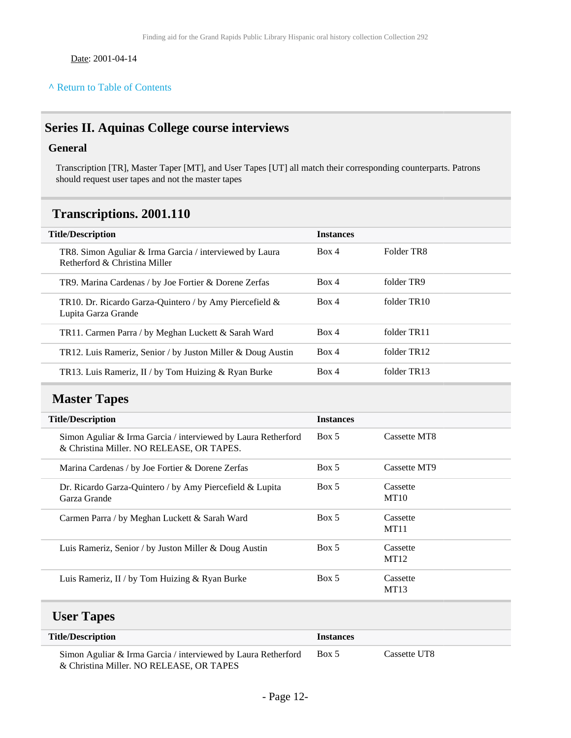Date: 2001-04-14

#### **^** [Return to Table of Contents](#page-1-0)

## <span id="page-11-0"></span>**Series II. Aquinas College course interviews**

### **General**

Transcription [TR], Master Taper [MT], and User Tapes [UT] all match their corresponding counterparts. Patrons should request user tapes and not the master tapes

### <span id="page-11-1"></span>**Transcriptions. 2001.110**

| <b>Title/Description</b>                                                                 | <b>Instances</b> |                        |
|------------------------------------------------------------------------------------------|------------------|------------------------|
| TR8. Simon Aguliar & Irma Garcia / interviewed by Laura<br>Retherford & Christina Miller | Box 4            | Folder TR <sub>8</sub> |
| TR9. Marina Cardenas / by Joe Fortier & Dorene Zerfas                                    | Box 4            | folder TR9             |
| TR10. Dr. Ricardo Garza-Quintero / by Amy Piercefield $\&$<br>Lupita Garza Grande        | Box 4            | folder TR10            |
| TR11. Carmen Parra / by Meghan Luckett & Sarah Ward                                      | Box 4            | folder TR11            |
| TR12. Luis Rameriz, Senior / by Juston Miller & Doug Austin                              | Box 4            | folder TR12            |
| TR13. Luis Rameriz, II / by Tom Huizing & Ryan Burke                                     | Box 4            | folder TR13            |

### <span id="page-11-2"></span>**Master Tapes**

| <b>Title/Description</b>                                                                                   | <b>Instances</b> |                         |
|------------------------------------------------------------------------------------------------------------|------------------|-------------------------|
| Simon Aguliar & Irma Garcia / interviewed by Laura Retherford<br>& Christina Miller. NO RELEASE, OR TAPES. | Box 5            | Cassette MT8            |
| Marina Cardenas / by Joe Fortier & Dorene Zerfas                                                           | Box 5            | Cassette MT9            |
| Dr. Ricardo Garza-Quintero / by Amy Piercefield $\&$ Lupita<br>Garza Grande                                | Box 5            | Cassette<br>MT10        |
| Carmen Parra / by Meghan Luckett & Sarah Ward                                                              | Box 5            | Cassette<br><b>MT11</b> |
| Luis Rameriz, Senior / by Juston Miller & Doug Austin                                                      | Box 5            | Cassette<br>MT12        |
| Luis Rameriz, II / by Tom Huizing & Ryan Burke                                                             | Box 5            | Cassette<br>MT13        |

## <span id="page-11-3"></span>**User Tapes**

| <b>Title/Description</b>                                                                                  | <b>Instances</b> |              |
|-----------------------------------------------------------------------------------------------------------|------------------|--------------|
| Simon Aguliar & Irma Garcia / interviewed by Laura Retherford<br>& Christina Miller. NO RELEASE, OR TAPES | Box 5            | Cassette UT8 |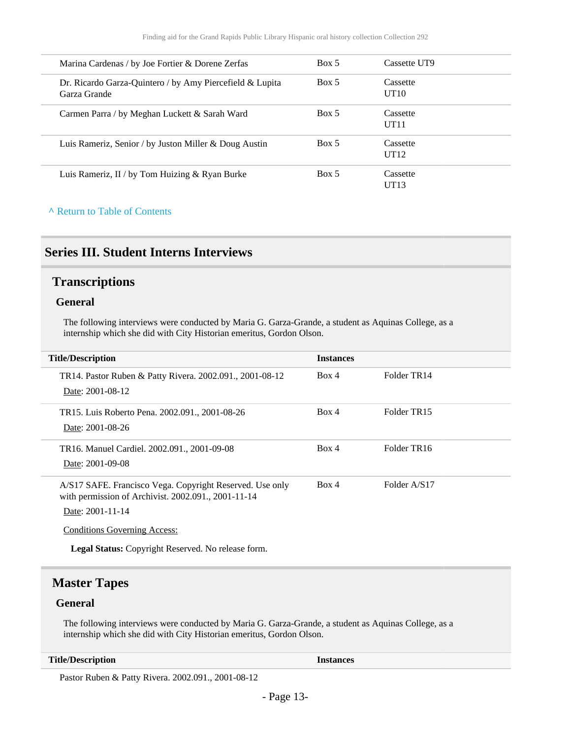| Marina Cardenas / by Joe Fortier & Dorene Zerfas                            | Box 5 | Cassette UT9     |
|-----------------------------------------------------------------------------|-------|------------------|
| Dr. Ricardo Garza-Quintero / by Amy Piercefield $\&$ Lupita<br>Garza Grande | Box 5 | Cassette<br>UT10 |
| Carmen Parra / by Meghan Luckett & Sarah Ward                               | Box 5 | Cassette<br>UT11 |
| Luis Rameriz, Senior / by Juston Miller & Doug Austin                       | Box 5 | Cassette<br>UT12 |
| Luis Rameriz, II / by Tom Huizing & Ryan Burke                              | Box 5 | Cassette<br>UT13 |

#### **^** [Return to Table of Contents](#page-1-0)

### <span id="page-12-0"></span>**Series III. Student Interns Interviews**

#### <span id="page-12-1"></span>**Transcriptions**

#### **General**

The following interviews were conducted by Maria G. Garza-Grande, a student as Aquinas College, as a internship which she did with City Historian emeritus, Gordon Olson.

| <b>Title/Description</b>                                                                                        | <b>Instances</b> |                         |
|-----------------------------------------------------------------------------------------------------------------|------------------|-------------------------|
| TR14. Pastor Ruben & Patty Rivera. 2002.091., 2001-08-12<br>Date: 2001-08-12                                    | Box 4            | Folder TR14             |
|                                                                                                                 |                  |                         |
| TR15. Luis Roberto Pena. 2002.091., 2001-08-26<br>Date: 2001-08-26                                              | Box 4            | Folder TR <sub>15</sub> |
|                                                                                                                 |                  |                         |
| TR16. Manuel Cardiel. 2002.091., 2001-09-08                                                                     | Box 4            | Folder TR16             |
| Date: 2001-09-08                                                                                                |                  |                         |
| A/S17 SAFE. Francisco Vega. Copyright Reserved. Use only<br>with permission of Archivist. 2002.091., 2001-11-14 | Box 4            | Folder A/S17            |
| Date: 2001-11-14                                                                                                |                  |                         |
| <b>Conditions Governing Access:</b>                                                                             |                  |                         |
| <b>Legal Status:</b> Copyright Reserved. No release form.                                                       |                  |                         |

### <span id="page-12-2"></span>**Master Tapes**

#### **General**

The following interviews were conducted by Maria G. Garza-Grande, a student as Aquinas College, as a internship which she did with City Historian emeritus, Gordon Olson.

#### **Title/Description Instances**

Pastor Ruben & Patty Rivera. 2002.091., 2001-08-12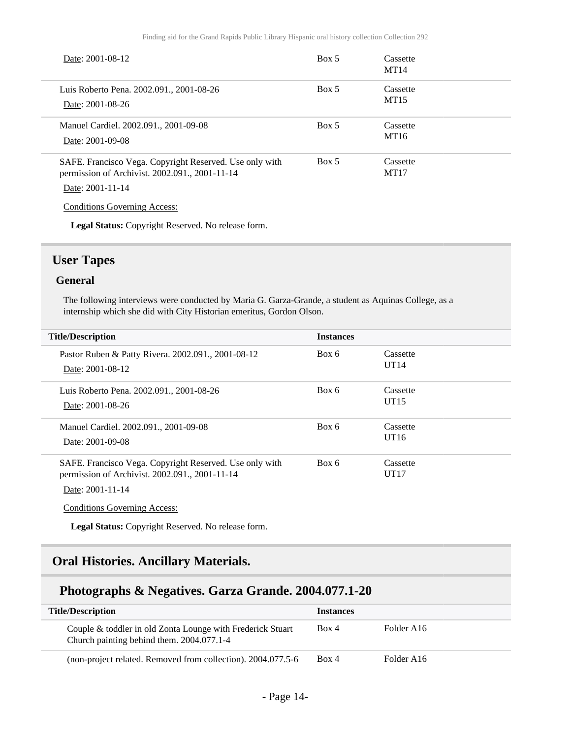| Date: 2001-08-12                                                                                                                                                     | Box 5 | Cassette<br>MT14 |
|----------------------------------------------------------------------------------------------------------------------------------------------------------------------|-------|------------------|
| Luis Roberto Pena. 2002.091., 2001-08-26<br>Date: 2001-08-26                                                                                                         | Box 5 | Cassette<br>MT15 |
| Manuel Cardiel. 2002.091., 2001-09-08<br>Date: 2001-09-08                                                                                                            | Box 5 | Cassette<br>MT16 |
| SAFE. Francisco Vega. Copyright Reserved. Use only with<br>permission of Archivist. 2002.091., 2001-11-14<br>Date: 2001-11-14<br><b>Conditions Governing Access:</b> | Box 5 | Cassette<br>MT17 |
| <b>Legal Status:</b> Copyright Reserved. No release form.                                                                                                            |       |                  |

### <span id="page-13-0"></span>**User Tapes**

#### **General**

The following interviews were conducted by Maria G. Garza-Grande, a student as Aquinas College, as a internship which she did with City Historian emeritus, Gordon Olson.

| <b>Title/Description</b>                                                                                                      | <b>Instances</b> |                  |  |
|-------------------------------------------------------------------------------------------------------------------------------|------------------|------------------|--|
| Pastor Ruben & Patty Rivera. 2002.091., 2001-08-12<br>Date: 2001-08-12                                                        | Box 6            | Cassette<br>UT14 |  |
| Luis Roberto Pena. 2002.091., 2001-08-26<br>Date: 2001-08-26                                                                  | Box 6            | Cassette<br>UT15 |  |
| Manuel Cardiel. 2002.091., 2001-09-08<br>Date: 2001-09-08                                                                     | Box 6            | Cassette<br>UT16 |  |
| SAFE. Francisco Vega. Copyright Reserved. Use only with<br>permission of Archivist. 2002.091., 2001-11-14<br>Date: 2001-11-14 | Box 6            | Cassette<br>UT17 |  |

Conditions Governing Access:

**Legal Status:** Copyright Reserved. No release form.

## <span id="page-13-1"></span>**Oral Histories. Ancillary Materials.**

### **Photographs & Negatives. Garza Grande. 2004.077.1-20**

| <b>Title/Description</b>                                                                                | <b>Instances</b> |                        |
|---------------------------------------------------------------------------------------------------------|------------------|------------------------|
| Couple & toddler in old Zonta Lounge with Frederick Stuart<br>Church painting behind them. 2004.077.1-4 | Box 4            | Folder A <sub>16</sub> |
| (non-project related. Removed from collection). 2004.077.5-6                                            | Box 4            | Folder A <sub>16</sub> |